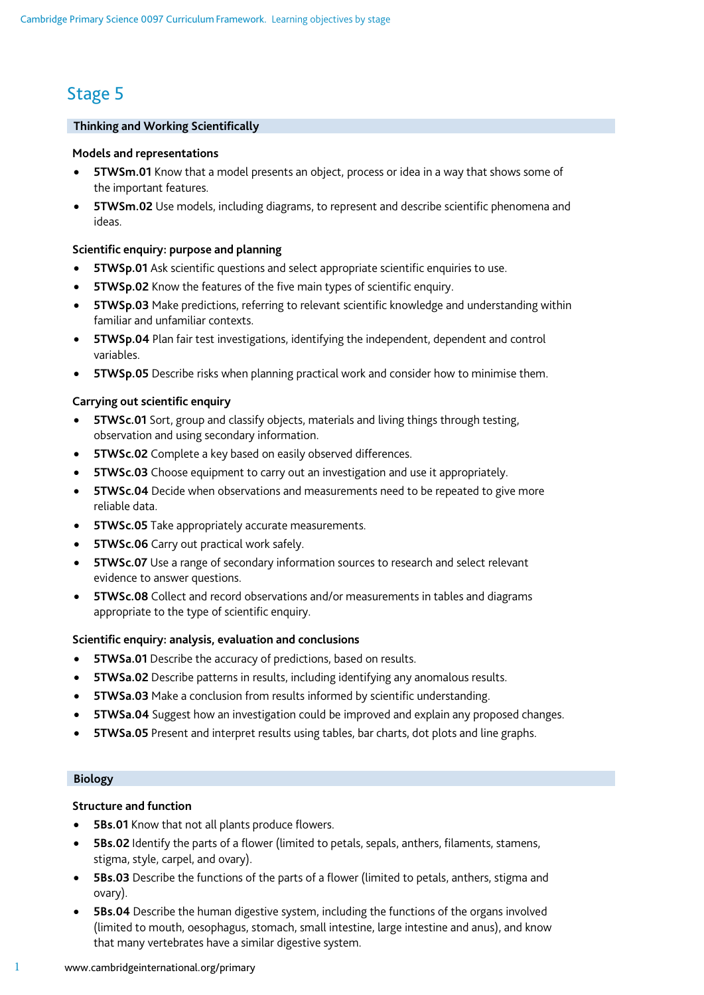# Stage 5

## **Thinking and Working Scientifically**

## **Models and representations**

- **5TWSm.01** Know that a model presents an object, process or idea in a way that shows some of the important features.
- **5TWSm.02** Use models, including diagrams, to represent and describe scientific phenomena and ideas.

# **Scientific enquiry: purpose and planning**

- **5TWSp.01** Ask scientific questions and select appropriate scientific enquiries to use.
- **5TWSp.02** Know the features of the five main types of scientific enquiry.
- **5TWSp.03** Make predictions, referring to relevant scientific knowledge and understanding within familiar and unfamiliar contexts.
- **5TWSp.04** Plan fair test investigations, identifying the independent, dependent and control variables.
- **5TWSp.05** Describe risks when planning practical work and consider how to minimise them.

# **Carrying out scientific enquiry**

- **5TWSc.01** Sort, group and classify objects, materials and living things through testing, observation and using secondary information.
- **5TWSc.02** Complete a key based on easily observed differences.
- **5TWSc.03** Choose equipment to carry out an investigation and use it appropriately.
- **5TWSc.04** Decide when observations and measurements need to be repeated to give more reliable data.
- **5TWSc.05** Take appropriately accurate measurements.
- **5TWSc.06** Carry out practical work safely.
- **5TWSc.07** Use a range of secondary information sources to research and select relevant evidence to answer questions.
- **5TWSc.08** Collect and record observations and/or measurements in tables and diagrams appropriate to the type of scientific enquiry.

# **Scientific enquiry: analysis, evaluation and conclusions**

- **5TWSa.01** Describe the accuracy of predictions, based on results.
- **5TWSa.02** Describe patterns in results, including identifying any anomalous results.
- **5TWSa.03** Make a conclusion from results informed by scientific understanding.
- **5TWSa.04** Suggest how an investigation could be improved and explain any proposed changes.
- **5TWSa.05** Present and interpret results using tables, bar charts, dot plots and line graphs.

# **Biology**

# **Structure and function**

- **5Bs.01** Know that not all plants produce flowers.
- **5Bs.02** Identify the parts of a flower (limited to petals, sepals, anthers, filaments, stamens, stigma, style, carpel, and ovary).
- **5Bs.03** Describe the functions of the parts of a flower (limited to petals, anthers, stigma and ovary).
- **5Bs.04** Describe the human digestive system, including the functions of the organs involved (limited to mouth, oesophagus, stomach, small intestine, large intestine and anus), and know that many vertebrates have a similar digestive system.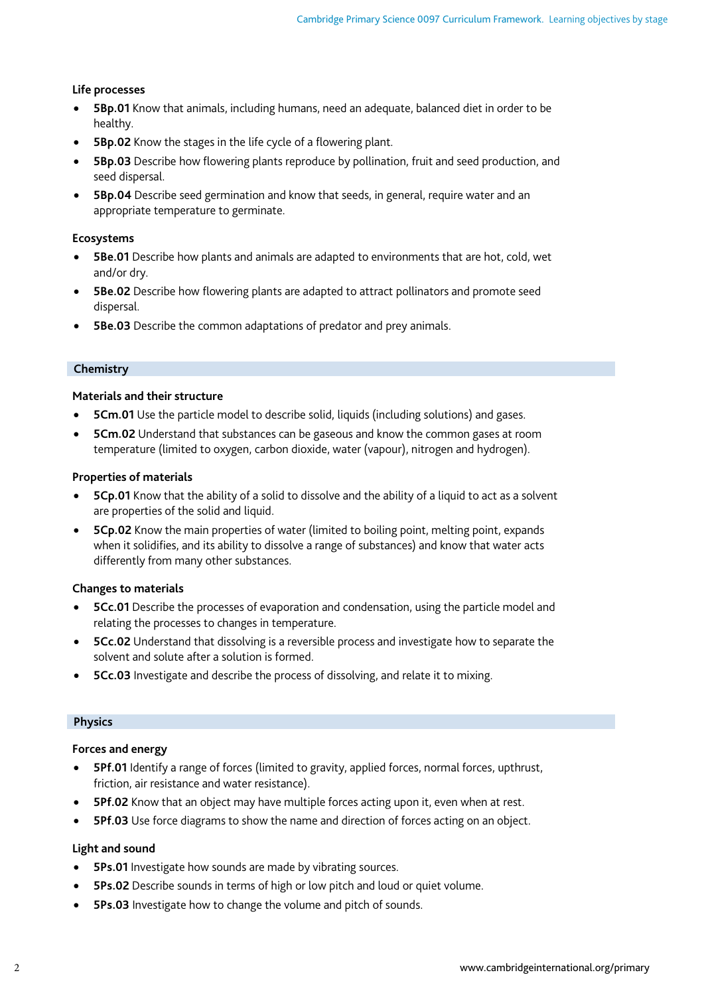## **Life processes**

- **5Bp.01** Know that animals, including humans, need an adequate, balanced diet in order to be healthy.
- **5Bp.02** Know the stages in the life cycle of a flowering plant.
- **5Bp.03** Describe how flowering plants reproduce by pollination, fruit and seed production, and seed dispersal.
- **5Bp.04** Describe seed germination and know that seeds, in general, require water and an appropriate temperature to germinate.

## **Ecosystems**

- **5Be.01** Describe how plants and animals are adapted to environments that are hot, cold, wet and/or dry.
- **5Be.02** Describe how flowering plants are adapted to attract pollinators and promote seed dispersal.
- **5Be.03** Describe the common adaptations of predator and prey animals.

#### **Chemistry**

## **Materials and their structure**

- **5Cm.01** Use the particle model to describe solid, liquids (including solutions) and gases.
- **5Cm.02** Understand that substances can be gaseous and know the common gases at room temperature (limited to oxygen, carbon dioxide, water (vapour), nitrogen and hydrogen).

## **Properties of materials**

- **5Cp.01** Know that the ability of a solid to dissolve and the ability of a liquid to act as a solvent are properties of the solid and liquid.
- **5Cp.02** Know the main properties of water (limited to boiling point, melting point, expands when it solidifies, and its ability to dissolve a range of substances) and know that water acts differently from many other substances.

# **Changes to materials**

- **5Cc.01** Describe the processes of evaporation and condensation, using the particle model and relating the processes to changes in temperature.
- **5Cc.02** Understand that dissolving is a reversible process and investigate how to separate the solvent and solute after a solution is formed.
- **5Cc.03** Investigate and describe the process of dissolving, and relate it to mixing.

#### **Physics**

#### **Forces and energy**

- **5Pf.01** Identify a range of forces (limited to gravity, applied forces, normal forces, upthrust, friction, air resistance and water resistance).
- **5Pf.02** Know that an object may have multiple forces acting upon it, even when at rest.
- **5Pf.03** Use force diagrams to show the name and direction of forces acting on an object.

# **Light and sound**

- **5Ps.01** Investigate how sounds are made by vibrating sources.
- **5Ps.02** Describe sounds in terms of high or low pitch and loud or quiet volume.
- **5Ps.03** Investigate how to change the volume and pitch of sounds.